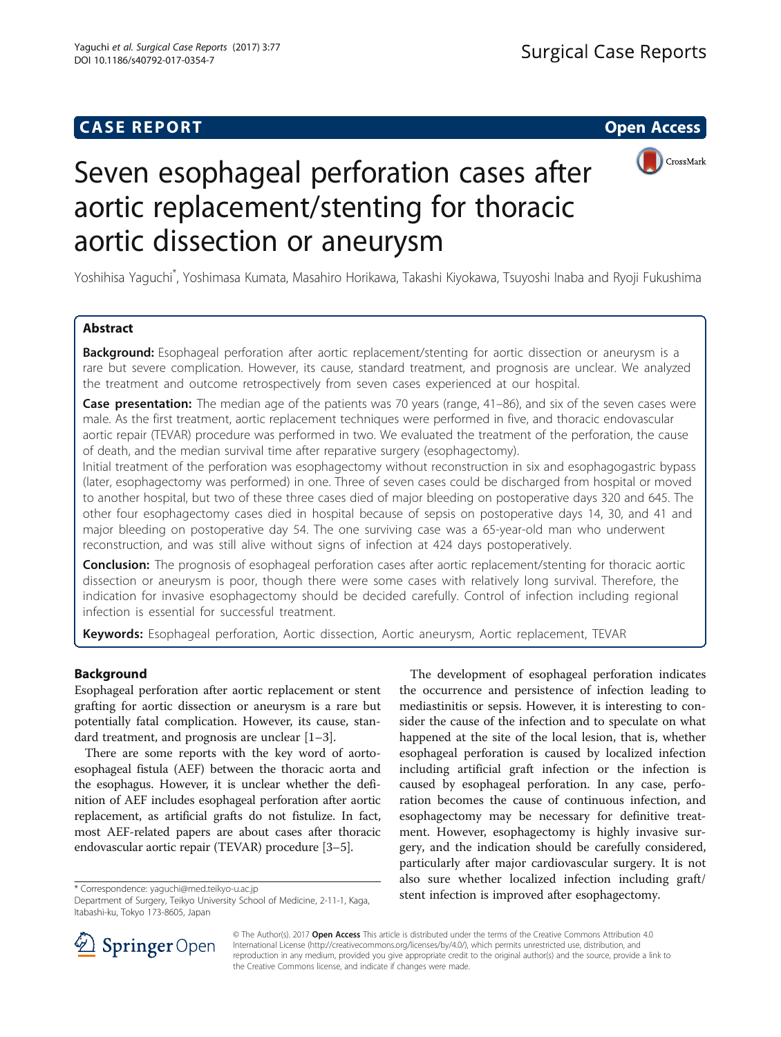## **CASE REPORT CASE REPORT CASE REPORT**



# Seven esophageal perforation cases after aortic replacement/stenting for thoracic aortic dissection or aneurysm

Yoshihisa Yaguchi\* , Yoshimasa Kumata, Masahiro Horikawa, Takashi Kiyokawa, Tsuyoshi Inaba and Ryoji Fukushima

## Abstract

**Background:** Esophageal perforation after aortic replacement/stenting for aortic dissection or aneurysm is a rare but severe complication. However, its cause, standard treatment, and prognosis are unclear. We analyzed the treatment and outcome retrospectively from seven cases experienced at our hospital.

**Case presentation:** The median age of the patients was 70 years (range, 41–86), and six of the seven cases were male. As the first treatment, aortic replacement techniques were performed in five, and thoracic endovascular aortic repair (TEVAR) procedure was performed in two. We evaluated the treatment of the perforation, the cause of death, and the median survival time after reparative surgery (esophagectomy).

Initial treatment of the perforation was esophagectomy without reconstruction in six and esophagogastric bypass (later, esophagectomy was performed) in one. Three of seven cases could be discharged from hospital or moved to another hospital, but two of these three cases died of major bleeding on postoperative days 320 and 645. The other four esophagectomy cases died in hospital because of sepsis on postoperative days 14, 30, and 41 and major bleeding on postoperative day 54. The one surviving case was a 65-year-old man who underwent reconstruction, and was still alive without signs of infection at 424 days postoperatively.

Conclusion: The prognosis of esophageal perforation cases after aortic replacement/stenting for thoracic aortic dissection or aneurysm is poor, though there were some cases with relatively long survival. Therefore, the indication for invasive esophagectomy should be decided carefully. Control of infection including regional infection is essential for successful treatment.

Keywords: Esophageal perforation, Aortic dissection, Aortic aneurysm, Aortic replacement, TEVAR

## Background

Esophageal perforation after aortic replacement or stent grafting for aortic dissection or aneurysm is a rare but potentially fatal complication. However, its cause, standard treatment, and prognosis are unclear [\[1](#page-3-0)–[3](#page-3-0)].

There are some reports with the key word of aortoesophageal fistula (AEF) between the thoracic aorta and the esophagus. However, it is unclear whether the definition of AEF includes esophageal perforation after aortic replacement, as artificial grafts do not fistulize. In fact, most AEF-related papers are about cases after thoracic endovascular aortic repair (TEVAR) procedure [[3](#page-3-0)–[5](#page-3-0)].

The development of esophageal perforation indicates the occurrence and persistence of infection leading to mediastinitis or sepsis. However, it is interesting to consider the cause of the infection and to speculate on what happened at the site of the local lesion, that is, whether esophageal perforation is caused by localized infection including artificial graft infection or the infection is caused by esophageal perforation. In any case, perforation becomes the cause of continuous infection, and esophagectomy may be necessary for definitive treatment. However, esophagectomy is highly invasive surgery, and the indication should be carefully considered, particularly after major cardiovascular surgery. It is not also sure whether localized infection including graft/ stent infection is improved after esophagectomy. \* Correspondence: [yaguchi@med.teikyo-u.ac.jp](mailto:yaguchi@med.teikyo-u.ac.jp)



© The Author(s). 2017 Open Access This article is distributed under the terms of the Creative Commons Attribution 4.0 International License ([http://creativecommons.org/licenses/by/4.0/\)](http://creativecommons.org/licenses/by/4.0/), which permits unrestricted use, distribution, and reproduction in any medium, provided you give appropriate credit to the original author(s) and the source, provide a link to the Creative Commons license, and indicate if changes were made.

Department of Surgery, Teikyo University School of Medicine, 2-11-1, Kaga, Itabashi-ku, Tokyo 173-8605, Japan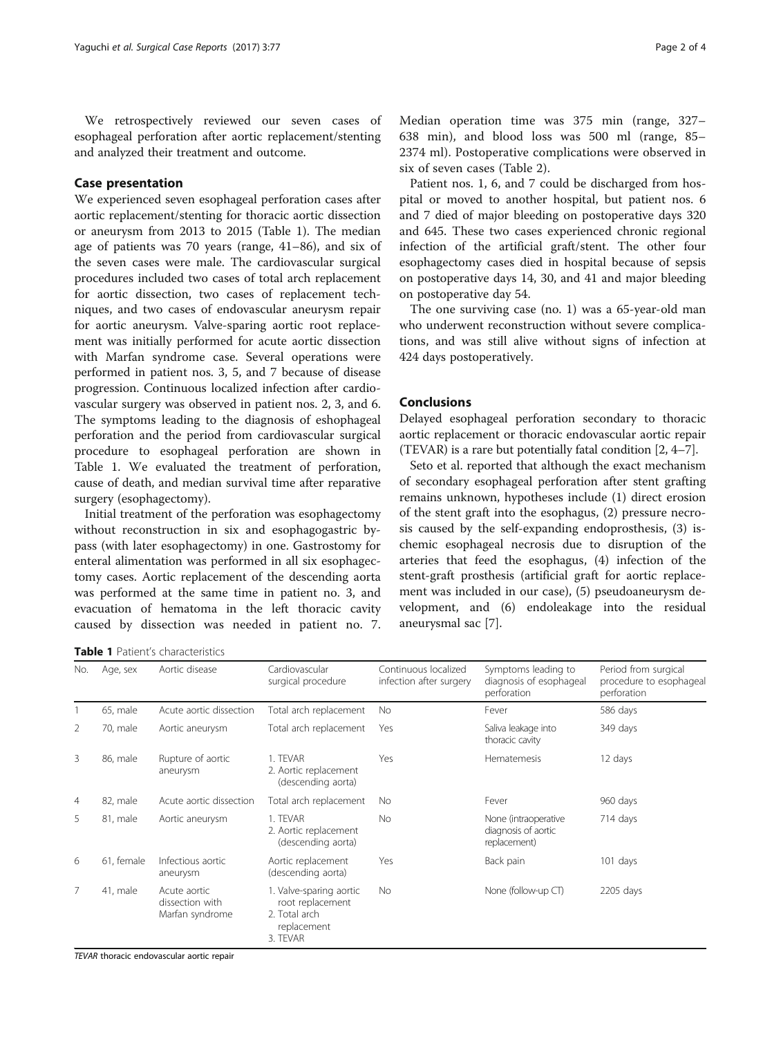We retrospectively reviewed our seven cases of esophageal perforation after aortic replacement/stenting and analyzed their treatment and outcome.

## Case presentation

We experienced seven esophageal perforation cases after aortic replacement/stenting for thoracic aortic dissection or aneurysm from 2013 to 2015 (Table 1). The median age of patients was 70 years (range, 41–86), and six of the seven cases were male. The cardiovascular surgical procedures included two cases of total arch replacement for aortic dissection, two cases of replacement techniques, and two cases of endovascular aneurysm repair for aortic aneurysm. Valve-sparing aortic root replacement was initially performed for acute aortic dissection with Marfan syndrome case. Several operations were performed in patient nos. 3, 5, and 7 because of disease progression. Continuous localized infection after cardiovascular surgery was observed in patient nos. 2, 3, and 6. The symptoms leading to the diagnosis of eshophageal perforation and the period from cardiovascular surgical procedure to esophageal perforation are shown in Table 1. We evaluated the treatment of perforation, cause of death, and median survival time after reparative surgery (esophagectomy).

Initial treatment of the perforation was esophagectomy without reconstruction in six and esophagogastric bypass (with later esophagectomy) in one. Gastrostomy for enteral alimentation was performed in all six esophagectomy cases. Aortic replacement of the descending aorta was performed at the same time in patient no. 3, and evacuation of hematoma in the left thoracic cavity caused by dissection was needed in patient no. 7.

Table 1 Patient's characteristics

Median operation time was 375 min (range, 327– 638 min), and blood loss was 500 ml (range, 85– 2374 ml). Postoperative complications were observed in six of seven cases (Table [2](#page-2-0)).

Patient nos. 1, 6, and 7 could be discharged from hospital or moved to another hospital, but patient nos. 6 and 7 died of major bleeding on postoperative days 320 and 645. These two cases experienced chronic regional infection of the artificial graft/stent. The other four esophagectomy cases died in hospital because of sepsis on postoperative days 14, 30, and 41 and major bleeding on postoperative day 54.

The one surviving case (no. 1) was a 65-year-old man who underwent reconstruction without severe complications, and was still alive without signs of infection at 424 days postoperatively.

## Conclusions

Delayed esophageal perforation secondary to thoracic aortic replacement or thoracic endovascular aortic repair (TEVAR) is a rare but potentially fatal condition [[2](#page-3-0), [4](#page-3-0)–[7\]](#page-3-0).

Seto et al. reported that although the exact mechanism of secondary esophageal perforation after stent grafting remains unknown, hypotheses include (1) direct erosion of the stent graft into the esophagus, (2) pressure necrosis caused by the self-expanding endoprosthesis, (3) ischemic esophageal necrosis due to disruption of the arteries that feed the esophagus, (4) infection of the stent-graft prosthesis (artificial graft for aortic replacement was included in our case), (5) pseudoaneurysm development, and (6) endoleakage into the residual aneurysmal sac [[7\]](#page-3-0).

| No.            | Age, sex   | Aortic disease                                     | Cardiovascular<br>surgical procedure                                                    | Continuous localized<br>infection after surgery | Symptoms leading to<br>diagnosis of esophageal<br>perforation | Period from surgical<br>procedure to esophageal<br>perforation |
|----------------|------------|----------------------------------------------------|-----------------------------------------------------------------------------------------|-------------------------------------------------|---------------------------------------------------------------|----------------------------------------------------------------|
|                | 65, male   | Acute aortic dissection                            | Total arch replacement                                                                  | No                                              | Fever                                                         | 586 days                                                       |
| 2              | 70, male   | Aortic aneurysm                                    | Total arch replacement                                                                  | Yes                                             | Saliva leakage into<br>thoracic cavity                        | 349 days                                                       |
| 3              | 86, male   | Rupture of aortic<br>aneurysm                      | 1. TFVAR<br>2. Aortic replacement<br>(descending aorta)                                 | Yes                                             | <b>Hematemesis</b>                                            | 12 days                                                        |
| $\overline{4}$ | 82, male   | Acute aortic dissection                            | Total arch replacement                                                                  | No                                              | Fever                                                         | 960 days                                                       |
| 5              | 81, male   | Aortic aneurysm                                    | 1. TFVAR<br>2. Aortic replacement<br>(descending aorta)                                 | <b>No</b>                                       | None (intraoperative<br>diagnosis of aortic<br>replacement)   | 714 days                                                       |
| 6              | 61, female | Infectious aortic<br>aneurysm                      | Aortic replacement<br>(descending aorta)                                                | Yes                                             | Back pain                                                     | 101 days                                                       |
| 7              | 41, male   | Acute aortic<br>dissection with<br>Marfan syndrome | 1. Valve-sparing aortic<br>root replacement<br>2. Total arch<br>replacement<br>3. TEVAR | <b>No</b>                                       | None (follow-up CT)                                           | 2205 days                                                      |

TEVAR thoracic endovascular aortic repair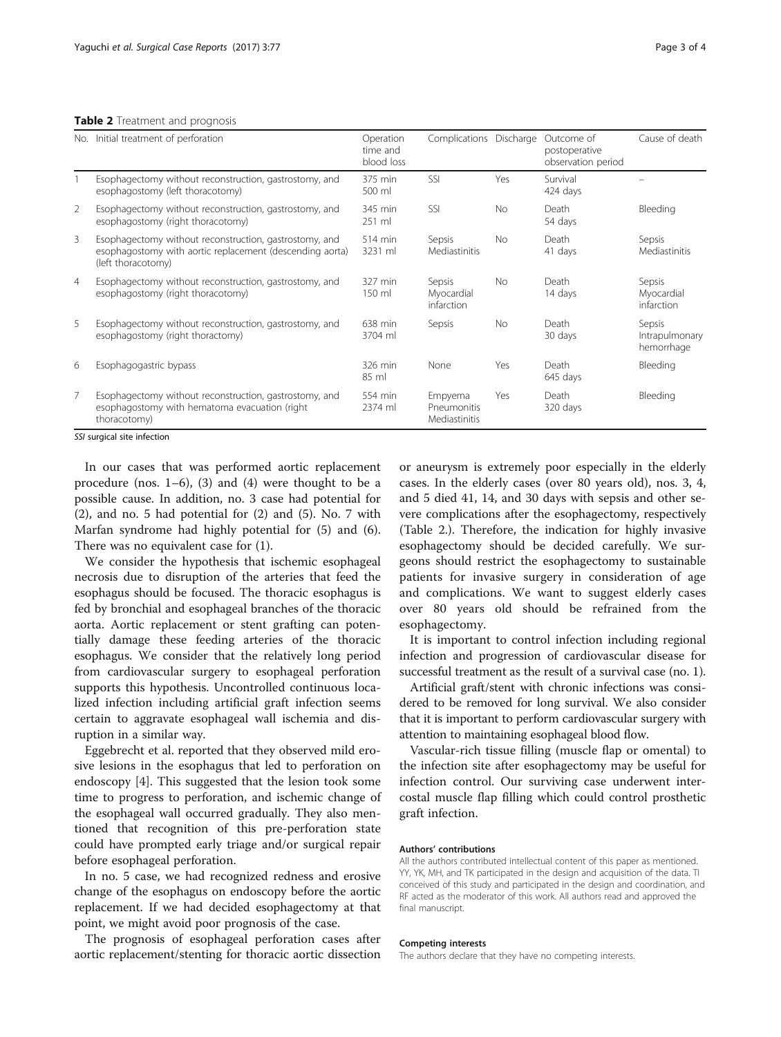#### <span id="page-2-0"></span>Table 2 Treatment and prognosis

| No.            | Initial treatment of perforation                                                                                                         | Operation<br>time and<br>blood loss | Complications                           | Discharge | Outcome of<br>postoperative<br>observation period | Cause of death                         |
|----------------|------------------------------------------------------------------------------------------------------------------------------------------|-------------------------------------|-----------------------------------------|-----------|---------------------------------------------------|----------------------------------------|
|                | Esophagectomy without reconstruction, gastrostomy, and<br>esophagostomy (left thoracotomy)                                               | 375 min<br>500 ml                   | SSI                                     | Yes       | Survival<br>424 days                              |                                        |
| 2              | Esophagectomy without reconstruction, gastrostomy, and<br>esophagostomy (right thoracotomy)                                              | 345 min<br>$251$ ml                 | SSI                                     | <b>No</b> | Death<br>54 days                                  | Bleeding                               |
| 3              | Esophagectomy without reconstruction, gastrostomy, and<br>esophagostomy with aortic replacement (descending aorta)<br>(left thoracotomy) | 514 min<br>3231 ml                  | Sepsis<br>Mediastinitis                 | <b>No</b> | Death<br>41 days                                  | Sepsis<br>Mediastinitis                |
| $\overline{4}$ | Esophagectomy without reconstruction, gastrostomy, and<br>esophagostomy (right thoracotomy)                                              | 327 min<br>150 ml                   | Sepsis<br>Myocardial<br>infarction      | <b>No</b> | Death<br>14 days                                  | Sepsis<br>Myocardial<br>infarction     |
| 5              | Esophagectomy without reconstruction, gastrostomy, and<br>esophagostomy (right thoractomy)                                               | 638 min<br>3704 ml                  | Sepsis                                  | No        | Death<br>30 days                                  | Sepsis<br>Intrapulmonary<br>hemorrhage |
| 6              | Esophagogastric bypass                                                                                                                   | 326 min<br>85 ml                    | None                                    | Yes       | Death<br>645 days                                 | Bleeding                               |
| $\overline{7}$ | Esophagectomy without reconstruction, gastrostomy, and<br>esophagostomy with hematoma evacuation (right<br>thoracotomy)                  | 554 min<br>2374 ml                  | Empyema<br>Pneumonitis<br>Mediastinitis | Yes       | Death<br>320 days                                 | Bleeding                               |

SSI surgical site infection

In our cases that was performed aortic replacement procedure (nos.  $1-6$ ), (3) and (4) were thought to be a possible cause. In addition, no. 3 case had potential for (2), and no. 5 had potential for (2) and (5). No. 7 with Marfan syndrome had highly potential for (5) and (6). There was no equivalent case for (1).

We consider the hypothesis that ischemic esophageal necrosis due to disruption of the arteries that feed the esophagus should be focused. The thoracic esophagus is fed by bronchial and esophageal branches of the thoracic aorta. Aortic replacement or stent grafting can potentially damage these feeding arteries of the thoracic esophagus. We consider that the relatively long period from cardiovascular surgery to esophageal perforation supports this hypothesis. Uncontrolled continuous localized infection including artificial graft infection seems certain to aggravate esophageal wall ischemia and disruption in a similar way.

Eggebrecht et al. reported that they observed mild erosive lesions in the esophagus that led to perforation on endoscopy [\[4](#page-3-0)]. This suggested that the lesion took some time to progress to perforation, and ischemic change of the esophageal wall occurred gradually. They also mentioned that recognition of this pre-perforation state could have prompted early triage and/or surgical repair before esophageal perforation.

In no. 5 case, we had recognized redness and erosive change of the esophagus on endoscopy before the aortic replacement. If we had decided esophagectomy at that point, we might avoid poor prognosis of the case.

The prognosis of esophageal perforation cases after aortic replacement/stenting for thoracic aortic dissection or aneurysm is extremely poor especially in the elderly cases. In the elderly cases (over 80 years old), nos. 3, 4, and 5 died 41, 14, and 30 days with sepsis and other severe complications after the esophagectomy, respectively (Table 2.). Therefore, the indication for highly invasive esophagectomy should be decided carefully. We surgeons should restrict the esophagectomy to sustainable patients for invasive surgery in consideration of age and complications. We want to suggest elderly cases over 80 years old should be refrained from the esophagectomy.

It is important to control infection including regional infection and progression of cardiovascular disease for successful treatment as the result of a survival case (no. 1).

Artificial graft/stent with chronic infections was considered to be removed for long survival. We also consider that it is important to perform cardiovascular surgery with attention to maintaining esophageal blood flow.

Vascular-rich tissue filling (muscle flap or omental) to the infection site after esophagectomy may be useful for infection control. Our surviving case underwent intercostal muscle flap filling which could control prosthetic graft infection.

#### Authors' contributions

All the authors contributed intellectual content of this paper as mentioned. YY, YK, MH, and TK participated in the design and acquisition of the data. TI conceived of this study and participated in the design and coordination, and RF acted as the moderator of this work. All authors read and approved the final manuscript.

#### Competing interests

The authors declare that they have no competing interests.